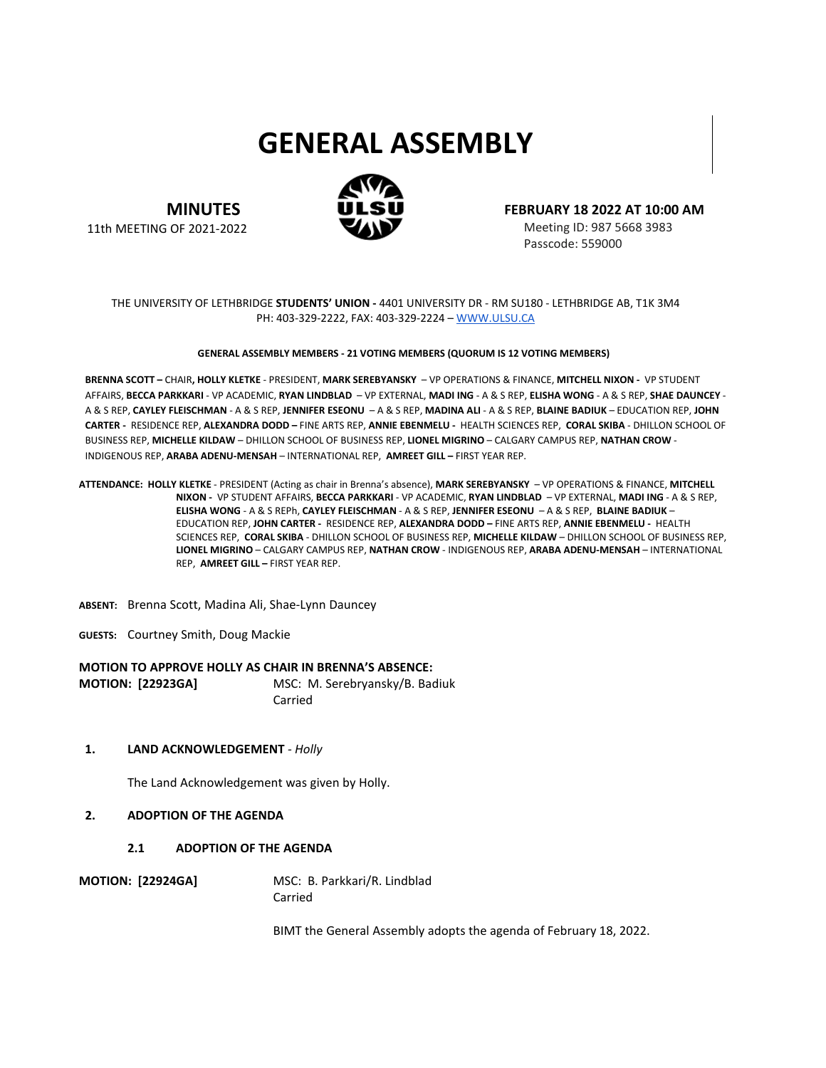# **GENERAL ASSEMBLY**



**MINUTES** 11th MEETING OF 2021-2022 **FEBRUARY 18 2022 AT 10:00 AM**

Meeting ID: 987 5668 3983 Passcode: 559000

# THE UNIVERSITY OF LETHBRIDGE **STUDENTS' UNION -** 4401 UNIVERSITY DR - RM SU180 - LETHBRIDGE AB, T1K 3M4 PH: 403-329-2222, FAX: 403-329-2224 – [WWW.ULSU.CA](http://www.ulsu.ca/)

### **GENERAL ASSEMBLY MEMBERS - 21 VOTING MEMBERS (QUORUM IS 12 VOTING MEMBERS)**

**BRENNA SCOTT –** CHAIR**, HOLLY KLETKE** - PRESIDENT, **MARK SEREBYANSKY** – VP OPERATIONS & FINANCE, **MITCHELL NIXON -** VP STUDENT AFFAIRS, **BECCA PARKKARI** - VP ACADEMIC, **RYAN LINDBLAD** – VP EXTERNAL, **MADI ING** - A & S REP, **ELISHA WONG** - A & S REP, **SHAE DAUNCEY** - A & S REP, **CAYLEY FLEISCHMAN** - A & S REP, **JENNIFER ESEONU** – A & S REP, **MADINA ALI** - A & S REP, **BLAINE BADIUK** – EDUCATION REP, **JOHN CARTER -** RESIDENCE REP, **ALEXANDRA DODD –** FINE ARTS REP, **ANNIE EBENMELU -** HEALTH SCIENCES REP, **CORAL SKIBA** - DHILLON SCHOOL OF BUSINESS REP, **MICHELLE KILDAW** – DHILLON SCHOOL OF BUSINESS REP, **LIONEL MIGRINO** – CALGARY CAMPUS REP, **NATHAN CROW** - INDIGENOUS REP, **ARABA ADENU-MENSAH** – INTERNATIONAL REP, **AMREET GILL –** FIRST YEAR REP.

**ATTENDANCE: HOLLY KLETKE** - PRESIDENT (Acting as chair in Brenna's absence), **MARK SEREBYANSKY** – VP OPERATIONS & FINANCE, **MITCHELL NIXON -** VP STUDENT AFFAIRS, **BECCA PARKKARI** - VP ACADEMIC, **RYAN LINDBLAD** – VP EXTERNAL, **MADI ING** - A & S REP, **ELISHA WONG** - A & S REPh, **CAYLEY FLEISCHMAN** - A & S REP, **JENNIFER ESEONU** – A & S REP, **BLAINE BADIUK** – EDUCATION REP, **JOHN CARTER -** RESIDENCE REP, **ALEXANDRA DODD –** FINE ARTS REP, **ANNIE EBENMELU -** HEALTH SCIENCES REP, **CORAL SKIBA** - DHILLON SCHOOL OF BUSINESS REP, **MICHELLE KILDAW** – DHILLON SCHOOL OF BUSINESS REP, **LIONEL MIGRINO** – CALGARY CAMPUS REP, **NATHAN CROW** - INDIGENOUS REP, **ARABA ADENU-MENSAH** – INTERNATIONAL REP, **AMREET GILL –** FIRST YEAR REP.

**ABSENT:** Brenna Scott, Madina Ali, Shae-Lynn Dauncey

**GUESTS:** Courtney Smith, Doug Mackie

# **MOTION TO APPROVE HOLLY AS CHAIR IN BRENNA'S ABSENCE:**

**MOTION: [22923GA]** MSC: M. Serebryansky/B. Badiuk Carried

# **1. LAND ACKNOWLEDGEMENT** *- Holly*

The Land Acknowledgement was given by Holly.

# **2. ADOPTION OF THE AGENDA**

#### **2.1 ADOPTION OF THE AGENDA**

**MOTION: [22924GA]** MSC: B. Parkkari/R. Lindblad Carried

BIMT the General Assembly adopts the agenda of February 18, 2022.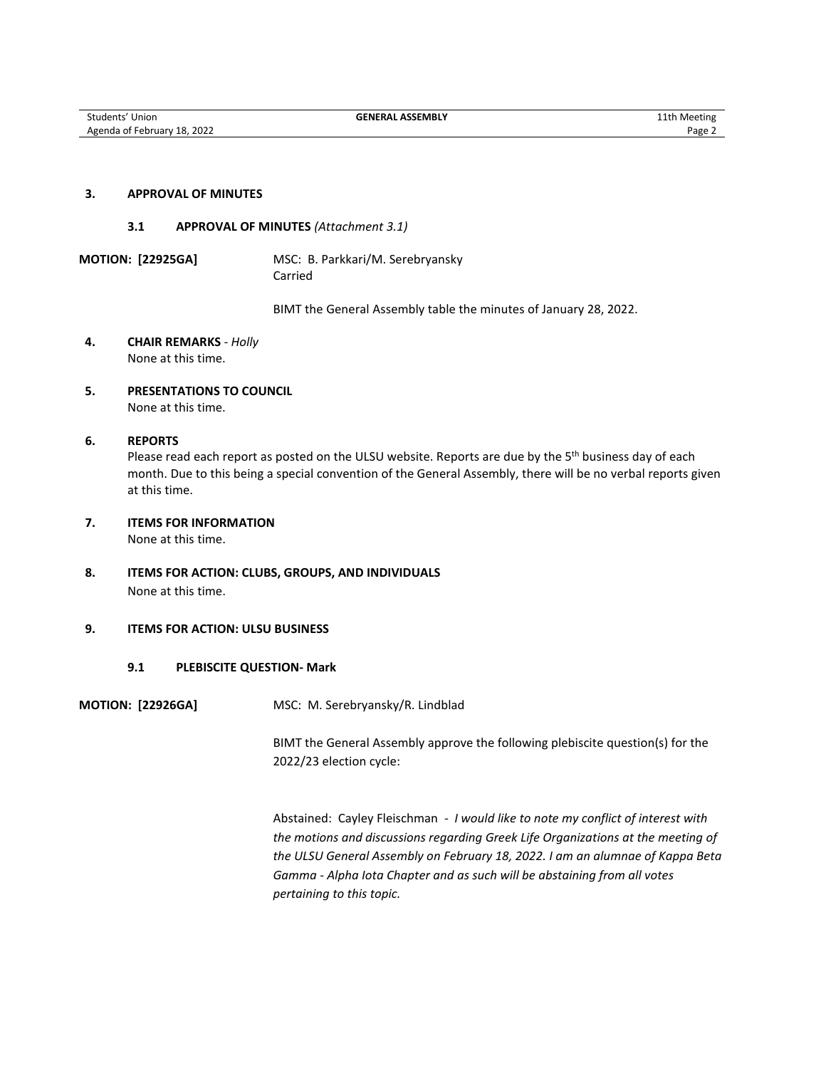#### **3. APPROVAL OF MINUTES**

#### **3.1 APPROVAL OF MINUTES** *(Attachment 3.1)*

**MOTION: [22925GA]** MSC: B. Parkkari/M. Serebryansky Carried

BIMT the General Assembly table the minutes of January 28, 2022.

- **4. CHAIR REMARKS** *- Holly* None at this time.
- **5. PRESENTATIONS TO COUNCIL**  None at this time.

#### **6. REPORTS**

Please read each report as posted on the ULSU website. Reports are due by the 5<sup>th</sup> business day of each month. Due to this being a special convention of the General Assembly, there will be no verbal reports given at this time.

**7. ITEMS FOR INFORMATION**

None at this time.

**8. ITEMS FOR ACTION: CLUBS, GROUPS, AND INDIVIDUALS** None at this time.

# **9. ITEMS FOR ACTION: ULSU BUSINESS**

- **9.1 PLEBISCITE QUESTION- Mark**
- **MOTION: [22926GA]** MSC: M. Serebryansky/R. Lindblad

BIMT the General Assembly approve the following plebiscite question(s) for the 2022/23 election cycle:

Abstained: Cayley Fleischman *- I would like to note my conflict of interest with the motions and discussions regarding Greek Life Organizations at the meeting of the ULSU General Assembly on February 18, 2022. I am an alumnae of Kappa Beta Gamma - Alpha Iota Chapter and as such will be abstaining from all votes pertaining to this topic.*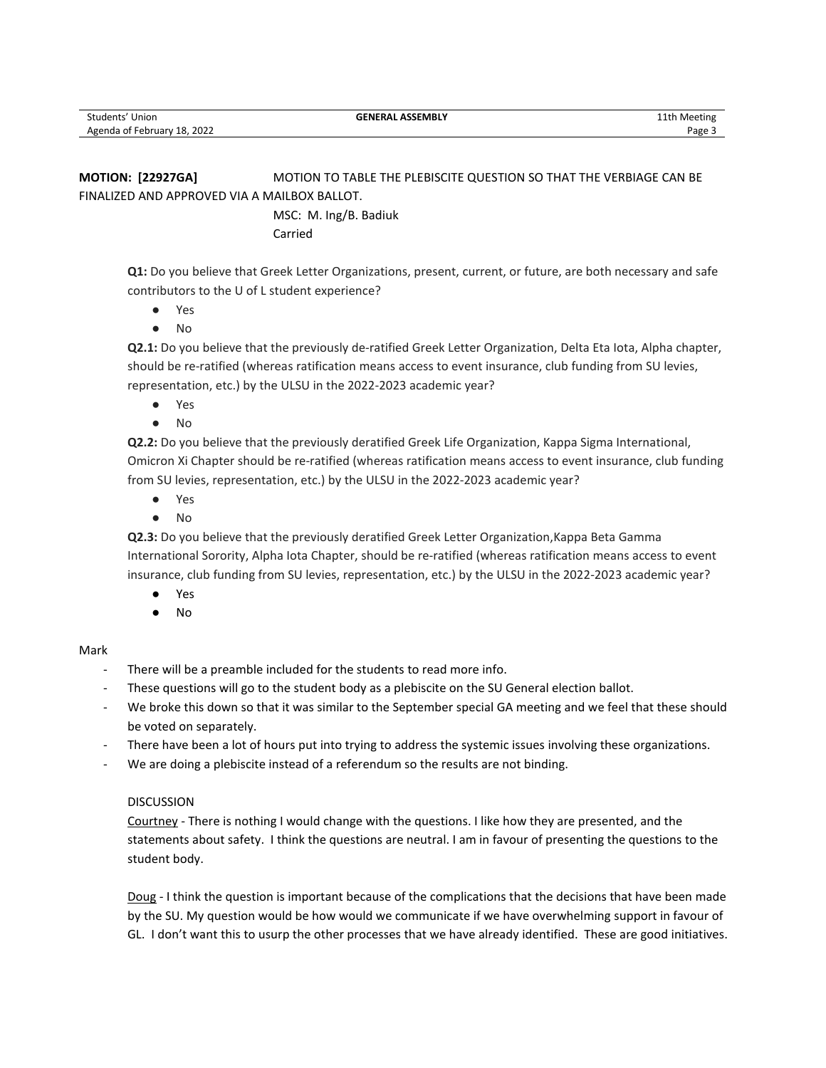# **MOTION: [22927GA]** MOTION TO TABLE THE PLEBISCITE QUESTION SO THAT THE VERBIAGE CAN BE FINALIZED AND APPROVED VIA A MAILBOX BALLOT.

MSC: M. Ing/B. Badiuk Carried

**Q1:** Do you believe that Greek Letter Organizations, present, current, or future, are both necessary and safe contributors to the U of L student experience?

- Yes
- No

**Q2.1:** Do you believe that the previously de-ratified Greek Letter Organization, Delta Eta Iota, Alpha chapter, should be re-ratified (whereas ratification means access to event insurance, club funding from SU levies, representation, etc.) by the ULSU in the 2022-2023 academic year?

- Yes
- No

**Q2.2:** Do you believe that the previously deratified Greek Life Organization, Kappa Sigma International, Omicron Xi Chapter should be re-ratified (whereas ratification means access to event insurance, club funding from SU levies, representation, etc.) by the ULSU in the 2022-2023 academic year?

- Yes
- No

**Q2.3:** Do you believe that the previously deratified Greek Letter Organization,Kappa Beta Gamma International Sorority, Alpha Iota Chapter, should be re-ratified (whereas ratification means access to event insurance, club funding from SU levies, representation, etc.) by the ULSU in the 2022-2023 academic year?

- Yes
- No

# Mark

- There will be a preamble included for the students to read more info.
- These questions will go to the student body as a plebiscite on the SU General election ballot.
- We broke this down so that it was similar to the September special GA meeting and we feel that these should be voted on separately.
- There have been a lot of hours put into trying to address the systemic issues involving these organizations.
- We are doing a plebiscite instead of a referendum so the results are not binding.

# DISCUSSION

Courtney - There is nothing I would change with the questions. I like how they are presented, and the statements about safety. I think the questions are neutral. I am in favour of presenting the questions to the student body.

Doug - I think the question is important because of the complications that the decisions that have been made by the SU. My question would be how would we communicate if we have overwhelming support in favour of GL. I don't want this to usurp the other processes that we have already identified. These are good initiatives.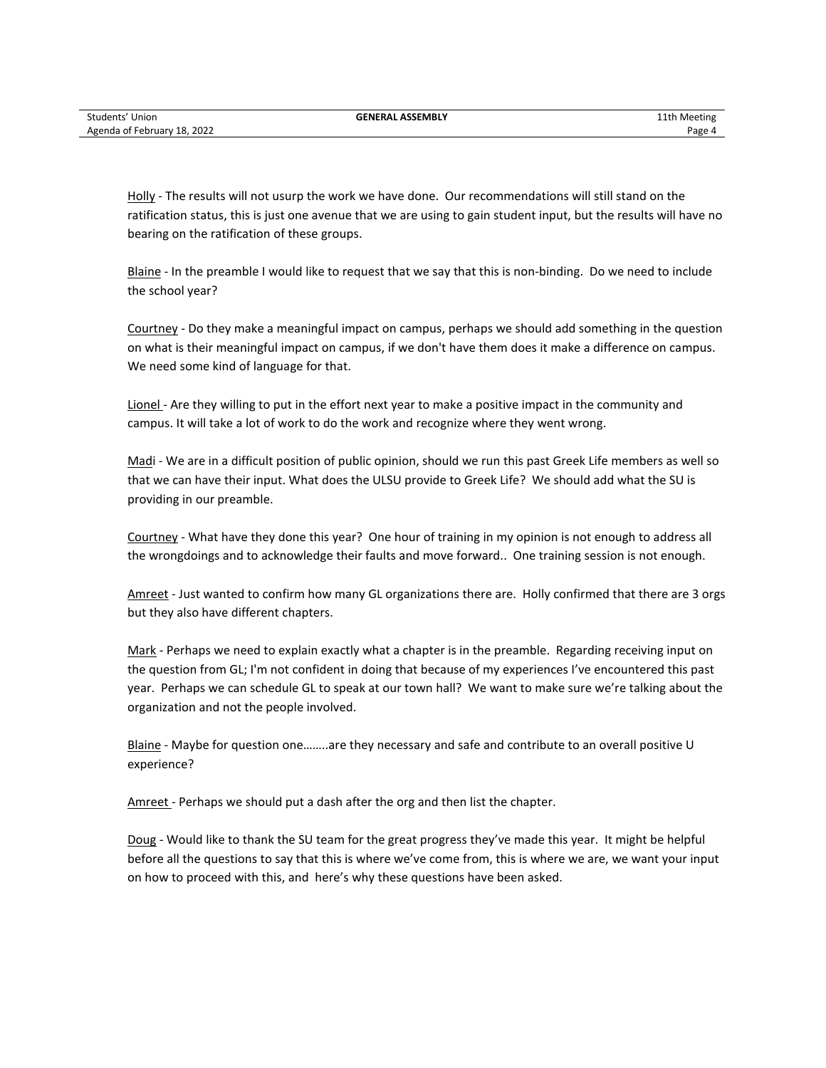Holly - The results will not usurp the work we have done. Our recommendations will still stand on the ratification status, this is just one avenue that we are using to gain student input, but the results will have no bearing on the ratification of these groups.

Blaine - In the preamble I would like to request that we say that this is non-binding. Do we need to include the school year?

Courtney - Do they make a meaningful impact on campus, perhaps we should add something in the question on what is their meaningful impact on campus, if we don't have them does it make a difference on campus. We need some kind of language for that.

Lionel - Are they willing to put in the effort next year to make a positive impact in the community and campus. It will take a lot of work to do the work and recognize where they went wrong.

Madi - We are in a difficult position of public opinion, should we run this past Greek Life members as well so that we can have their input. What does the ULSU provide to Greek Life? We should add what the SU is providing in our preamble.

Courtney - What have they done this year? One hour of training in my opinion is not enough to address all the wrongdoings and to acknowledge their faults and move forward.. One training session is not enough.

Amreet - Just wanted to confirm how many GL organizations there are. Holly confirmed that there are 3 orgs but they also have different chapters.

Mark - Perhaps we need to explain exactly what a chapter is in the preamble. Regarding receiving input on the question from GL; I'm not confident in doing that because of my experiences I've encountered this past year. Perhaps we can schedule GL to speak at our town hall? We want to make sure we're talking about the organization and not the people involved.

Blaine - Maybe for question one……..are they necessary and safe and contribute to an overall positive U experience?

Amreet - Perhaps we should put a dash after the org and then list the chapter.

Doug - Would like to thank the SU team for the great progress they've made this year. It might be helpful before all the questions to say that this is where we've come from, this is where we are, we want your input on how to proceed with this, and here's why these questions have been asked.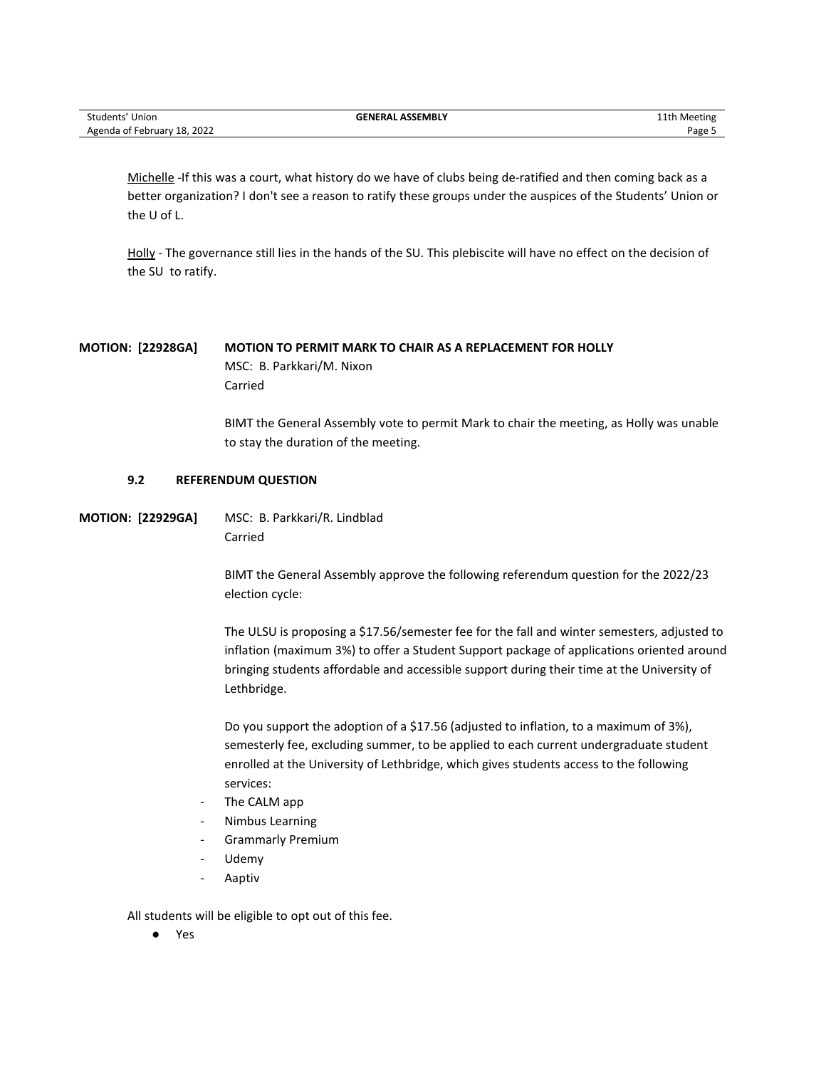| Students'<br>' Union        | <b>GENERAL ASSEMBLY</b> | 11th Meeting<br>. |
|-----------------------------|-------------------------|-------------------|
| Agenda of February 18, 2022 |                         | $Page \cup$       |

Michelle -If this was a court, what history do we have of clubs being de-ratified and then coming back as a better organization? I don't see a reason to ratify these groups under the auspices of the Students' Union or the U of L.

Holly - The governance still lies in the hands of the SU. This plebiscite will have no effect on the decision of the SU to ratify.

# **MOTION: [22928GA] MOTION TO PERMIT MARK TO CHAIR AS A REPLACEMENT FOR HOLLY** MSC: B. Parkkari/M. Nixon Carried

BIMT the General Assembly vote to permit Mark to chair the meeting, as Holly was unable to stay the duration of the meeting.

#### **9.2 REFERENDUM QUESTION**

**MOTION: [22929GA]** MSC: B. Parkkari/R. Lindblad Carried

> BIMT the General Assembly approve the following referendum question for the 2022/23 election cycle:

The ULSU is proposing a \$17.56/semester fee for the fall and winter semesters, adjusted to inflation (maximum 3%) to offer a Student Support package of applications oriented around bringing students affordable and accessible support during their time at the University of Lethbridge.

Do you support the adoption of a \$17.56 (adjusted to inflation, to a maximum of 3%), semesterly fee, excluding summer, to be applied to each current undergraduate student enrolled at the University of Lethbridge, which gives students access to the following services:

- The CALM app
- Nimbus Learning
- Grammarly Premium
- **Udemy**
- **Aaptiv**

All students will be eligible to opt out of this fee.

● Yes